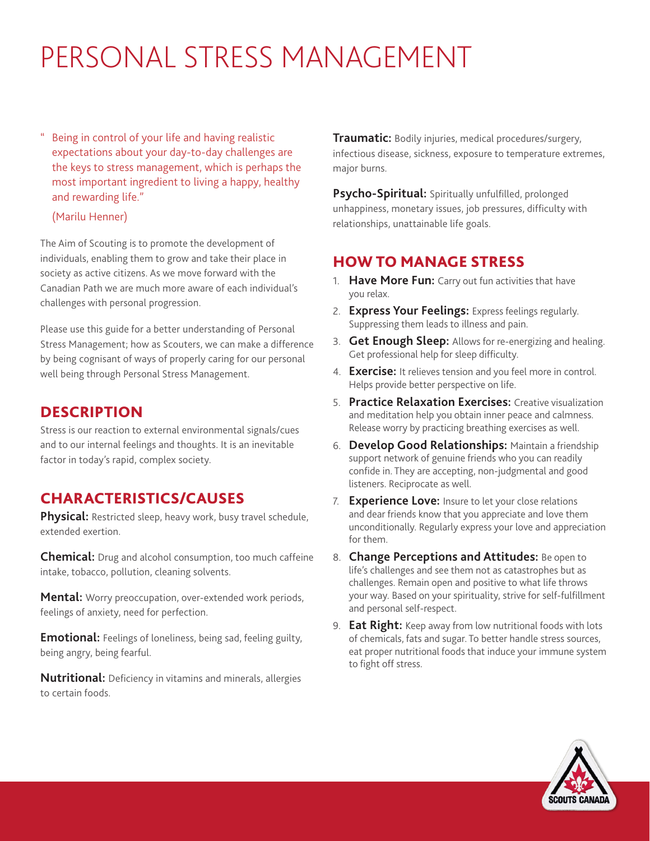# PERSONAL STRESS MANAGEMENT

Being in control of your life and having realistic expectations about your day-to-day challenges are the keys to stress management, which is perhaps the most important ingredient to living a happy, healthy and rewarding life."

#### (Marilu Henner)

The Aim of Scouting is to promote the development of individuals, enabling them to grow and take their place in society as active citizens. As we move forward with the Canadian Path we are much more aware of each individual's challenges with personal progression.

Please use this guide for a better understanding of Personal Stress Management; how as Scouters, we can make a difference by being cognisant of ways of properly caring for our personal well being through Personal Stress Management.

## **DESCRIPTION**

Stress is our reaction to external environmental signals/cues and to our internal feelings and thoughts. It is an inevitable factor in today's rapid, complex society.

# CHARACTERISTICS/CAUSES

**Physical:** Restricted sleep, heavy work, busy travel schedule, extended exertion.

**Chemical:** Drug and alcohol consumption, too much caffeine intake, tobacco, pollution, cleaning solvents.

**Mental:** Worry preoccupation, over-extended work periods, feelings of anxiety, need for perfection.

**Emotional:** Feelings of loneliness, being sad, feeling guilty, being angry, being fearful.

**Nutritional:** Deficiency in vitamins and minerals, allergies to certain foods.

**Traumatic:** Bodily injuries, medical procedures/surgery, infectious disease, sickness, exposure to temperature extremes, major burns.

**Psycho-Spiritual:** Spiritually unfulfilled, prolonged unhappiness, monetary issues, job pressures, difficulty with relationships, unattainable life goals.

# HOW TO MANAGE STRESS

- 1. **Have More Fun:** Carry out fun activities that have you relax.
- 2. **Express Your Feelings:** Express feelings regularly. Suppressing them leads to illness and pain.
- 3. **Get Enough Sleep:** Allows for re-energizing and healing. Get professional help for sleep difficulty.
- 4. **Exercise:** It relieves tension and you feel more in control. Helps provide better perspective on life.
- 5. **Practice Relaxation Exercises:** Creative visualization and meditation help you obtain inner peace and calmness. Release worry by practicing breathing exercises as well.
- 6. **Develop Good Relationships:** Maintain a friendship support network of genuine friends who you can readily confide in. They are accepting, non-judgmental and good listeners. Reciprocate as well.
- 7. **Experience Love:** Insure to let your close relations and dear friends know that you appreciate and love them unconditionally. Regularly express your love and appreciation for them.
- 8. **Change Perceptions and Attitudes:** Be open to life's challenges and see them not as catastrophes but as challenges. Remain open and positive to what life throws your way. Based on your spirituality, strive for self-fulfillment and personal self-respect.
- 9. **Eat Right:** Keep away from low nutritional foods with lots of chemicals, fats and sugar. To better handle stress sources, eat proper nutritional foods that induce your immune system to fight off stress.